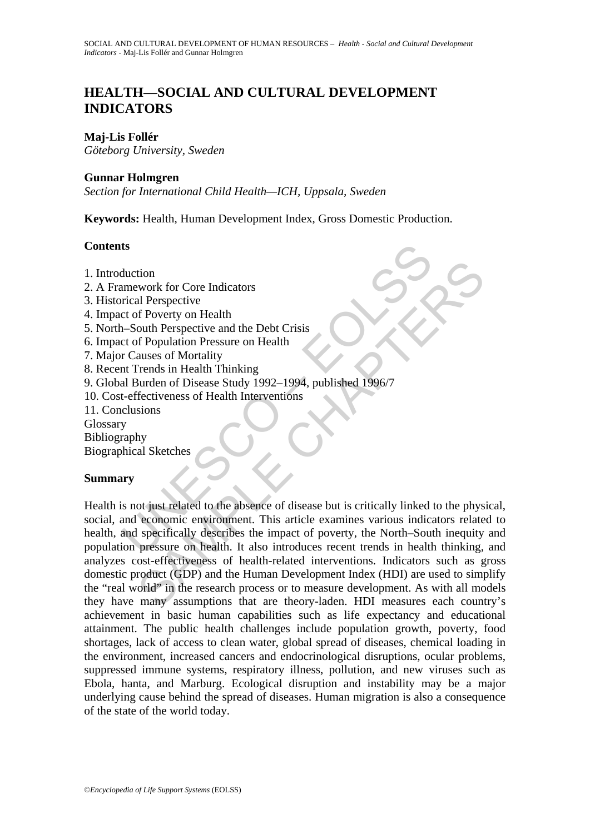# **HEALTH—SOCIAL AND CULTURAL DEVELOPMENT INDICATORS**

### **Maj-Lis Follér**

*Göteborg University, Sweden* 

#### **Gunnar Holmgren**

*Section for International Child Health—ICH, Uppsala, Sweden* 

**Keywords:** Health, Human Development Index, Gross Domestic Production.

#### **Contents**

- 1. Introduction
- 2. A Framework for Core Indicators
- 3. Historical Perspective
- 4. Impact of Poverty on Health
- 5. North–South Perspective and the Debt Crisis
- 6. Impact of Population Pressure on Health
- 7. Major Causes of Mortality
- 8. Recent Trends in Health Thinking
- 9. Global Burden of Disease Study 1992–1994, published 1996/7
- 10. Cost-effectiveness of Health Interventions
- 11. Conclusions

Glossary

Bibliography

Biographical Sketches

#### **Summary**

ts<br>
thuction<br>
mework for Core Indicators<br>
rical Perspective<br>
et of Poverty on Health<br>
-South Perspective and the Debt Crisis<br>
r Causes of Mortality<br>
r Causes of Mortality<br>
r Trauss of Mortality<br>
rus causes of Health Interv tion<br>
work for Core Indicators<br>
al Perspective<br>
on Perspective and the Debt Crisis<br>
of Poverly on Health<br>
outh Perspective and the Debt Crisis<br>
of Population Pressure on Health<br>
auses of Mortality<br>
al Sketches<br>
strome entr Health is not just related to the absence of disease but is critically linked to the physical, social, and economic environment. This article examines various indicators related to health, and specifically describes the impact of poverty, the North–South inequity and population pressure on health. It also introduces recent trends in health thinking, and analyzes cost-effectiveness of health-related interventions. Indicators such as gross domestic product (GDP) and the Human Development Index (HDI) are used to simplify the "real world" in the research process or to measure development. As with all models they have many assumptions that are theory-laden. HDI measures each country's achievement in basic human capabilities such as life expectancy and educational attainment. The public health challenges include population growth, poverty, food shortages, lack of access to clean water, global spread of diseases, chemical loading in the environment, increased cancers and endocrinological disruptions, ocular problems, suppressed immune systems, respiratory illness, pollution, and new viruses such as Ebola, hanta, and Marburg. Ecological disruption and instability may be a major underlying cause behind the spread of diseases. Human migration is also a consequence of the state of the world today.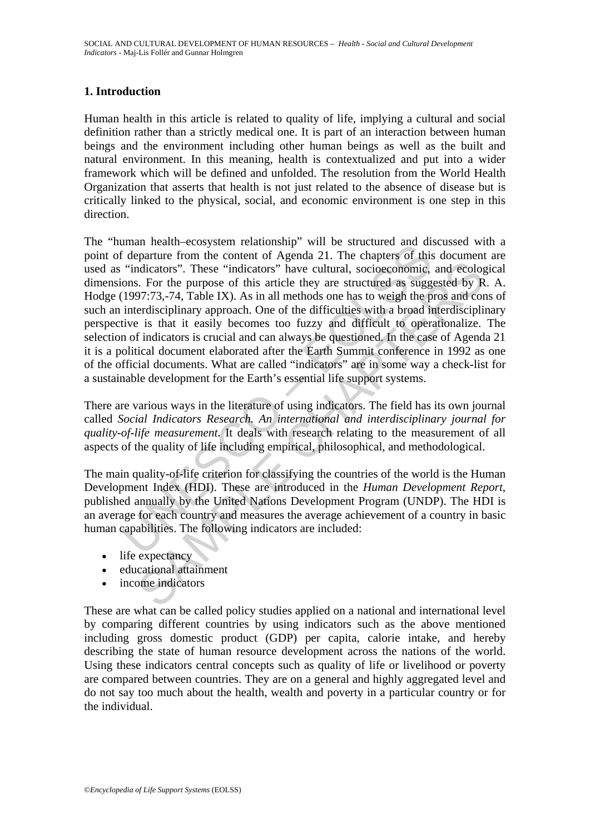# **1. Introduction**

Human health in this article is related to quality of life, implying a cultural and social definition rather than a strictly medical one. It is part of an interaction between human beings and the environment including other human beings as well as the built and natural environment. In this meaning, health is contextualized and put into a wider framework which will be defined and unfolded. The resolution from the World Health Organization that asserts that health is not just related to the absence of disease but is critically linked to the physical, social, and economic environment is one step in this direction.

main incalar-ecosyster relationship with the stuctured and the f departure from the content of Agenda 21. The chapters of this "indicators". These "indicators" have cultural, socioeconomic, ons. For the purpose of this ar dictators". These "indicators" have cultural, socioeconomic, and ecology<br>
SER TO the purpose of this article they are structured as suggested by R<br>
SP7:73,-74, Table IX). As in all methods one has to weigh the pros and cor The "human health–ecosystem relationship" will be structured and discussed with a point of departure from the content of Agenda 21. The chapters of this document are used as "indicators". These "indicators" have cultural, socioeconomic, and ecological dimensions. For the purpose of this article they are structured as suggested by R. A. Hodge (1997:73,-74, Table IX). As in all methods one has to weigh the pros and cons of such an interdisciplinary approach. One of the difficulties with a broad interdisciplinary perspective is that it easily becomes too fuzzy and difficult to operationalize. The selection of indicators is crucial and can always be questioned. In the case of Agenda 21 it is a political document elaborated after the Earth Summit conference in 1992 as one of the official documents. What are called "indicators" are in some way a check-list for a sustainable development for the Earth's essential life support systems.

There are various ways in the literature of using indicators. The field has its own journal called *Social Indicators Research. An international and interdisciplinary journal for quality-of-life measurement*. It deals with research relating to the measurement of all aspects of the quality of life including empirical, philosophical, and methodological.

The main quality-of-life criterion for classifying the countries of the world is the Human Development Index (HDI). These are introduced in the *Human Development Report*, published annually by the United Nations Development Program (UNDP). The HDI is an average for each country and measures the average achievement of a country in basic human capabilities. The following indicators are included:

- life expectancy
- educational attainment
- income indicators

These are what can be called policy studies applied on a national and international level by comparing different countries by using indicators such as the above mentioned including gross domestic product (GDP) per capita, calorie intake, and hereby describing the state of human resource development across the nations of the world. Using these indicators central concepts such as quality of life or livelihood or poverty are compared between countries. They are on a general and highly aggregated level and do not say too much about the health, wealth and poverty in a particular country or for the individual.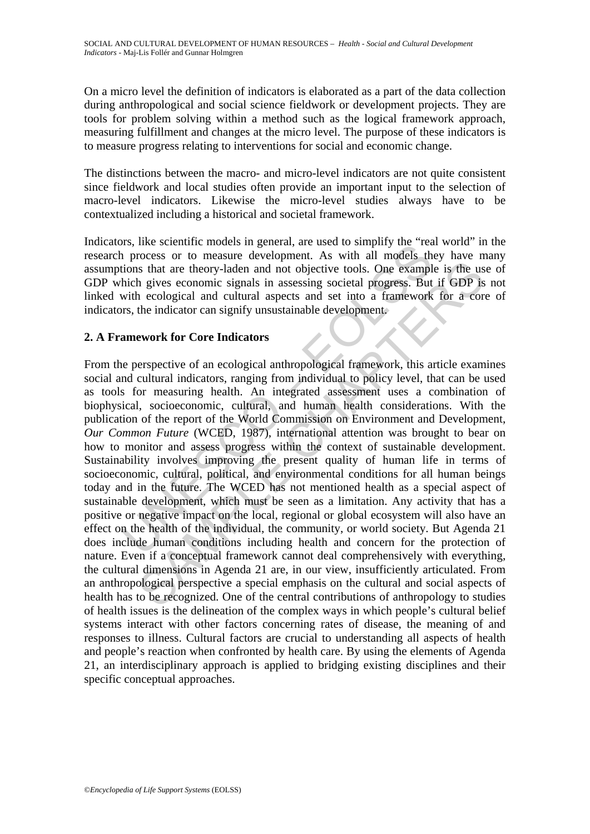On a micro level the definition of indicators is elaborated as a part of the data collection during anthropological and social science fieldwork or development projects. They are tools for problem solving within a method such as the logical framework approach, measuring fulfillment and changes at the micro level. The purpose of these indicators is to measure progress relating to interventions for social and economic change.

The distinctions between the macro- and micro-level indicators are not quite consistent since fieldwork and local studies often provide an important input to the selection of macro-level indicators. Likewise the micro-level studies always have to be contextualized including a historical and societal framework.

Indicators, like scientific models in general, are used to simplify the "real world" in the research process or to measure development. As with all models they have many assumptions that are theory-laden and not objective tools. One example is the use of GDP which gives economic signals in assessing societal progress. But if GDP is not linked with ecological and cultural aspects and set into a framework for a core of indicators, the indicator can signify unsustainable development.

# **2. A Framework for Core Indicators**

ISS, the scientif modes in general, are used to simpliny the reason<br>in process or to measure development. As with all models the<br>tions that are theory-laden and not objective tools. One example<br>hich gives economic signals is that are theory-laden and not objective tools. One example is the use that are theory-laden and not objective tools. One example is the use his pives economic signals in assessing societal progress. But if GDP is necolo From the perspective of an ecological anthropological framework, this article examines social and cultural indicators, ranging from individual to policy level, that can be used as tools for measuring health. An integrated assessment uses a combination of biophysical, socioeconomic, cultural, and human health considerations. With the publication of the report of the World Commission on Environment and Development, *Our Common Future* (WCED, 1987), international attention was brought to bear on how to monitor and assess progress within the context of sustainable development. Sustainability involves improving the present quality of human life in terms of socioeconomic, cultural, political, and environmental conditions for all human beings today and in the future. The WCED has not mentioned health as a special aspect of sustainable development, which must be seen as a limitation. Any activity that has a positive or negative impact on the local, regional or global ecosystem will also have an effect on the health of the individual, the community, or world society. But Agenda 21 does include human conditions including health and concern for the protection of nature. Even if a conceptual framework cannot deal comprehensively with everything, the cultural dimensions in Agenda 21 are, in our view, insufficiently articulated. From an anthropological perspective a special emphasis on the cultural and social aspects of health has to be recognized. One of the central contributions of anthropology to studies of health issues is the delineation of the complex ways in which people's cultural belief systems interact with other factors concerning rates of disease, the meaning of and responses to illness. Cultural factors are crucial to understanding all aspects of health and people's reaction when confronted by health care. By using the elements of Agenda 21, an interdisciplinary approach is applied to bridging existing disciplines and their specific conceptual approaches.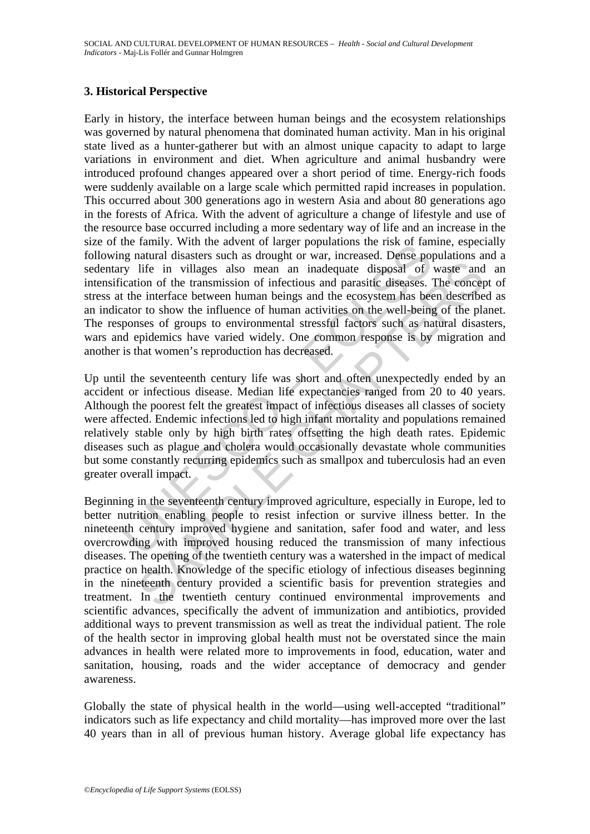### **3. Historical Perspective**

Incelariny. Write measure of ranger populations in trials of the contain<br>in gradium distances such as drought or war, increased. Dense point<br>incition of the transmission of infectious and parasitic diseases. The interface Early in history, the interface between human beings and the ecosystem relationships was governed by natural phenomena that dominated human activity. Man in his original state lived as a hunter-gatherer but with an almost unique capacity to adapt to large variations in environment and diet. When agriculture and animal husbandry were introduced profound changes appeared over a short period of time. Energy-rich foods were suddenly available on a large scale which permitted rapid increases in population. This occurred about 300 generations ago in western Asia and about 80 generations ago in the forests of Africa. With the advent of agriculture a change of lifestyle and use of the resource base occurred including a more sedentary way of life and an increase in the size of the family. With the advent of larger populations the risk of famine, especially following natural disasters such as drought or war, increased. Dense populations and a sedentary life in villages also mean an inadequate disposal of waste and an intensification of the transmission of infectious and parasitic diseases. The concept of stress at the interface between human beings and the ecosystem has been described as an indicator to show the influence of human activities on the well-being of the planet. The responses of groups to environmental stressful factors such as natural disasters, wars and epidemics have varied widely. One common response is by migration and another is that women's reproduction has decreased.

Up until the seventeenth century life was short and often unexpectedly ended by an accident or infectious disease. Median life expectancies ranged from 20 to 40 years. Although the poorest felt the greatest impact of infectious diseases all classes of society were affected. Endemic infections led to high infant mortality and populations remained relatively stable only by high birth rates offsetting the high death rates. Epidemic diseases such as plague and cholera would occasionally devastate whole communities but some constantly recurring epidemics such as smallpox and tuberculosis had an even greater overall impact.

life in villages also mean an inadequate disposal of waste and<br>in the invillages also mean an inadequate disposal of waste and<br>con of the transmission of infectious and parasitic diseases. The concept<br>inter interace betwee Beginning in the seventeenth century improved agriculture, especially in Europe, led to better nutrition enabling people to resist infection or survive illness better. In the nineteenth century improved hygiene and sanitation, safer food and water, and less overcrowding with improved housing reduced the transmission of many infectious diseases. The opening of the twentieth century was a watershed in the impact of medical practice on health. Knowledge of the specific etiology of infectious diseases beginning in the nineteenth century provided a scientific basis for prevention strategies and treatment. In the twentieth century continued environmental improvements and scientific advances, specifically the advent of immunization and antibiotics, provided additional ways to prevent transmission as well as treat the individual patient. The role of the health sector in improving global health must not be overstated since the main advances in health were related more to improvements in food, education, water and sanitation, housing, roads and the wider acceptance of democracy and gender awareness.

Globally the state of physical health in the world—using well-accepted "traditional" indicators such as life expectancy and child mortality—has improved more over the last 40 years than in all of previous human history. Average global life expectancy has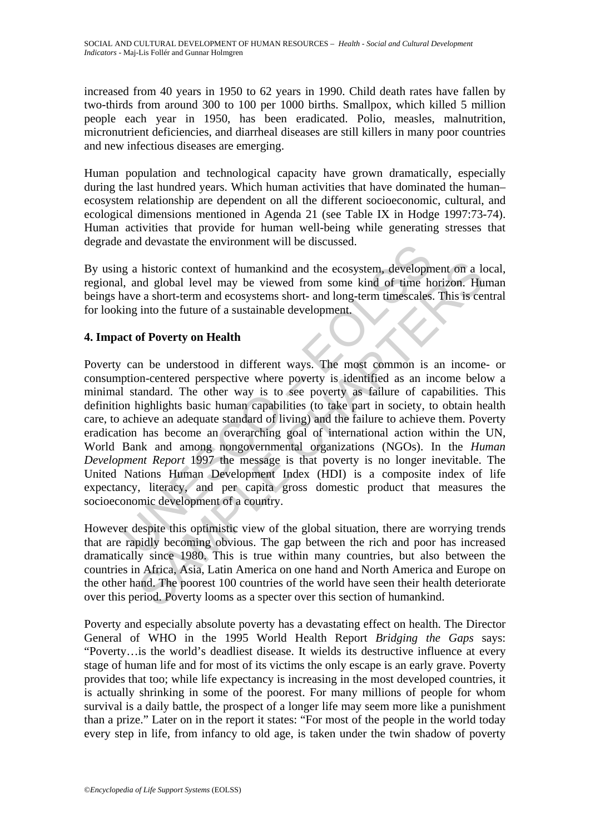increased from 40 years in 1950 to 62 years in 1990. Child death rates have fallen by two-thirds from around 300 to 100 per 1000 births. Smallpox, which killed 5 million people each year in 1950, has been eradicated. Polio, measles, malnutrition, micronutrient deficiencies, and diarrheal diseases are still killers in many poor countries and new infectious diseases are emerging.

Human population and technological capacity have grown dramatically, especially during the last hundred years. Which human activities that have dominated the human– ecosystem relationship are dependent on all the different socioeconomic, cultural, and ecological dimensions mentioned in Agenda 21 (see Table IX in Hodge 1997:73-74). Human activities that provide for human well-being while generating stresses that degrade and devastate the environment will be discussed.

By using a historic context of humankind and the ecosystem, development on a local, regional, and global level may be viewed from some kind of time horizon. Human beings have a short-term and ecosystems short- and long-term timescales. This is central for looking into the future of a sustainable development.

# **4. Impact of Poverty on Health**

g a historic context of humankind and the ecosystem, developm<br>and devastate the environment win be used seed.<br>In and global level may be viewed from some kind of time have a short-term and ecosystems short- and long-term t In this toric context of humankind and the ecosystem, development on a lead global level may be viewed from some kind of time horizon. Hu a short-term and ecosystems short- and long-term timescales. This is cent into the Poverty can be understood in different ways. The most common is an income- or consumption-centered perspective where poverty is identified as an income below a minimal standard. The other way is to see poverty as failure of capabilities. This definition highlights basic human capabilities (to take part in society, to obtain health care, to achieve an adequate standard of living) and the failure to achieve them. Poverty eradication has become an overarching goal of international action within the UN, World Bank and among nongovernmental organizations (NGOs). In the *Human Development Report* 1997 the message is that poverty is no longer inevitable. The United Nations Human Development Index (HDI) is a composite index of life expectancy, literacy, and per capita gross domestic product that measures the socioeconomic development of a country.

However despite this optimistic view of the global situation, there are worrying trends that are rapidly becoming obvious. The gap between the rich and poor has increased dramatically since 1980. This is true within many countries, but also between the countries in Africa, Asia, Latin America on one hand and North America and Europe on the other hand. The poorest 100 countries of the world have seen their health deteriorate over this period. Poverty looms as a specter over this section of humankind.

Poverty and especially absolute poverty has a devastating effect on health. The Director General of WHO in the 1995 World Health Report *Bridging the Gaps* says: "Poverty…is the world's deadliest disease. It wields its destructive influence at every stage of human life and for most of its victims the only escape is an early grave. Poverty provides that too; while life expectancy is increasing in the most developed countries, it is actually shrinking in some of the poorest. For many millions of people for whom survival is a daily battle, the prospect of a longer life may seem more like a punishment than a prize." Later on in the report it states: "For most of the people in the world today every step in life, from infancy to old age, is taken under the twin shadow of poverty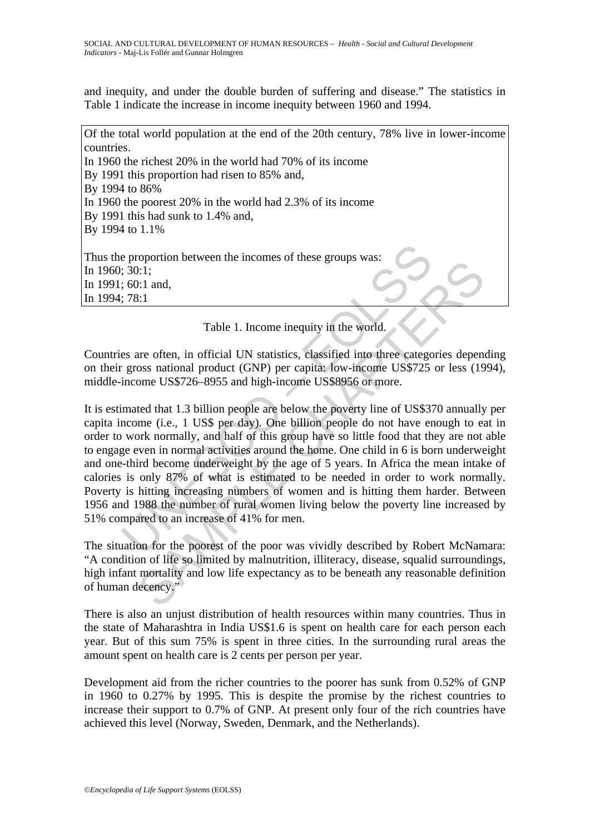and inequity, and under the double burden of suffering and disease." The statistics in Table 1 indicate the increase in income inequity between 1960 and 1994.

Of the total world population at the end of the 20th century, 78% live in lower-income countries. In 1960 the richest 20% in the world had 70% of its income By 1991 this proportion had risen to 85% and, By 1994 to 86% In 1960 the poorest 20% in the world had 2.3% of its income By 1991 this had sunk to 1.4% and, By 1994 to 1.1% Thus the proportion between the incomes of these groups was: In 1960; 30:1; In 1991; 60:1 and, In 1994; 78:1

Table 1. Income inequity in the world.

Countries are often, in official UN statistics, classified into three categories depending on their gross national product (GNP) per capita: low-income US\$725 or less (1994), middle-income US\$726–8955 and high-income US\$8956 or more.

e proportion between the incomes of these groups was:<br>
5.30:1;<br>
60:1 and,<br>
78:1<br>
Table 1. Income inequity in the world.<br>
es are often, in official UN statistics, classified into three catego<br>
gross national product (GNP) p 1.1 Table 1. Income inequity in the world.<br>
1.1 and,<br>
1.1 and,<br>
1.1 and,<br>
1.1 and,<br>
1.1 and,<br>
1.1 and,<br>
1.1 and,<br>
1.1 and,<br>
1.1 USS per day. One billow the world. Here categories dependences<br>
1.1 USS per day.). One billio It is estimated that 1.3 billion people are below the poverty line of US\$370 annually per capita income (i.e., 1 US\$ per day). One billion people do not have enough to eat in order to work normally, and half of this group have so little food that they are not able to engage even in normal activities around the home. One child in 6 is born underweight and one-third become underweight by the age of 5 years. In Africa the mean intake of calories is only 87% of what is estimated to be needed in order to work normally. Poverty is hitting increasing numbers of women and is hitting them harder. Between 1956 and 1988 the number of rural women living below the poverty line increased by 51% compared to an increase of 41% for men.

The situation for the poorest of the poor was vividly described by Robert McNamara: "A condition of life so limited by malnutrition, illiteracy, disease, squalid surroundings, high infant mortality and low life expectancy as to be beneath any reasonable definition of human decency."

There is also an unjust distribution of health resources within many countries. Thus in the state of Maharashtra in India US\$1.6 is spent on health care for each person each year. But of this sum 75% is spent in three cities. In the surrounding rural areas the amount spent on health care is 2 cents per person per year.

Development aid from the richer countries to the poorer has sunk from 0.52% of GNP in 1960 to 0.27% by 1995. This is despite the promise by the richest countries to increase their support to 0.7% of GNP. At present only four of the rich countries have achieved this level (Norway, Sweden, Denmark, and the Netherlands).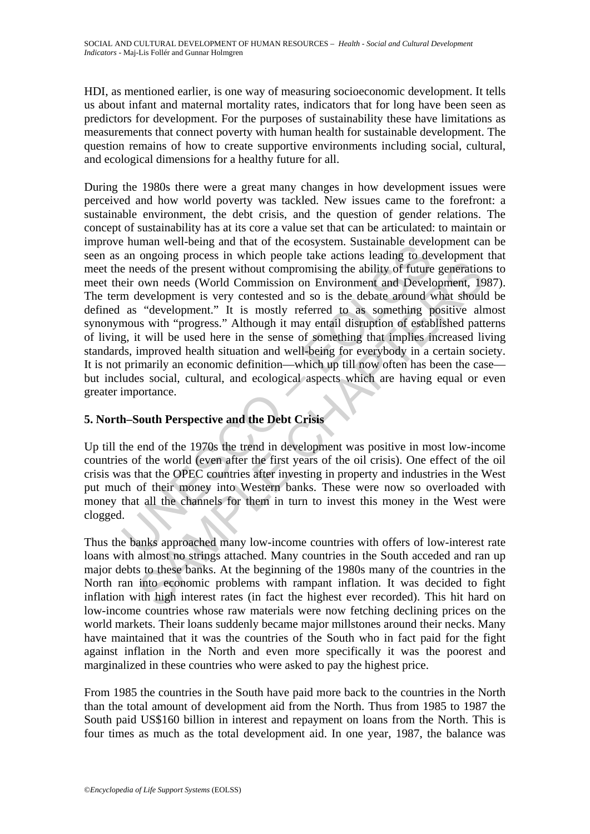HDI, as mentioned earlier, is one way of measuring socioeconomic development. It tells us about infant and maternal mortality rates, indicators that for long have been seen as predictors for development. For the purposes of sustainability these have limitations as measurements that connect poverty with human health for sustainable development. The question remains of how to create supportive environments including social, cultural, and ecological dimensions for a healthy future for all.

in wei-being and uat of ule ecosystem. Sustainable event<br>an ongoing process in which people take actions leading to de<br>e needs of the present without compromising the ability of future<br>eir own needs (World Commission on En eeds of the present without compromising the ability of future generation<br>eeds of the present without compromising the ability of future generation<br>own needs (World Commission on Environment and Development, 19<br>
redevelopm During the 1980s there were a great many changes in how development issues were perceived and how world poverty was tackled. New issues came to the forefront: a sustainable environment, the debt crisis, and the question of gender relations. The concept of sustainability has at its core a value set that can be articulated: to maintain or improve human well-being and that of the ecosystem. Sustainable development can be seen as an ongoing process in which people take actions leading to development that meet the needs of the present without compromising the ability of future generations to meet their own needs (World Commission on Environment and Development, 1987). The term development is very contested and so is the debate around what should be defined as "development." It is mostly referred to as something positive almost synonymous with "progress." Although it may entail disruption of established patterns of living, it will be used here in the sense of something that implies increased living standards, improved health situation and well-being for everybody in a certain society. It is not primarily an economic definition—which up till now often has been the case but includes social, cultural, and ecological aspects which are having equal or even greater importance.

# **5. North–South Perspective and the Debt Crisis**

Up till the end of the 1970s the trend in development was positive in most low-income countries of the world (even after the first years of the oil crisis). One effect of the oil crisis was that the OPEC countries after investing in property and industries in the West put much of their money into Western banks. These were now so overloaded with money that all the channels for them in turn to invest this money in the West were clogged.

Thus the banks approached many low-income countries with offers of low-interest rate loans with almost no strings attached. Many countries in the South acceded and ran up major debts to these banks. At the beginning of the 1980s many of the countries in the North ran into economic problems with rampant inflation. It was decided to fight inflation with high interest rates (in fact the highest ever recorded). This hit hard on low-income countries whose raw materials were now fetching declining prices on the world markets. Their loans suddenly became major millstones around their necks. Many have maintained that it was the countries of the South who in fact paid for the fight against inflation in the North and even more specifically it was the poorest and marginalized in these countries who were asked to pay the highest price.

From 1985 the countries in the South have paid more back to the countries in the North than the total amount of development aid from the North. Thus from 1985 to 1987 the South paid US\$160 billion in interest and repayment on loans from the North. This is four times as much as the total development aid. In one year, 1987, the balance was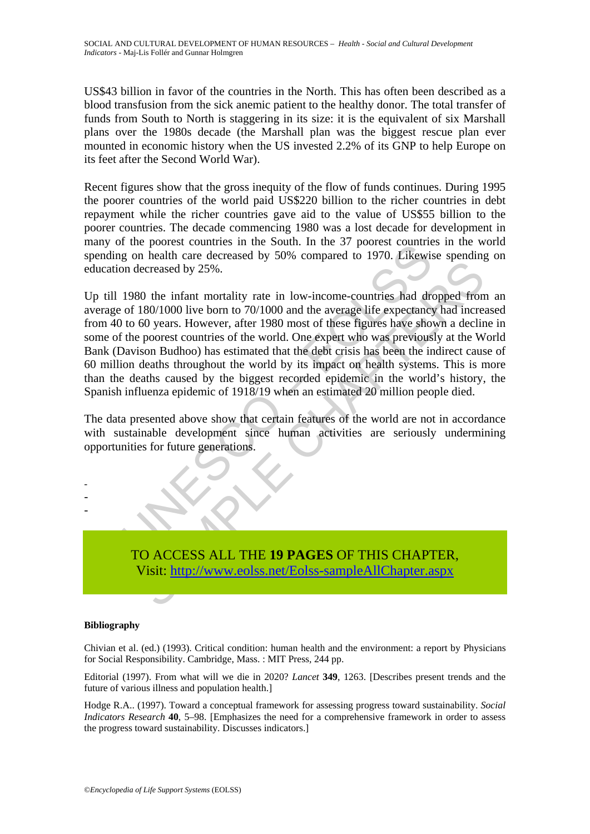US\$43 billion in favor of the countries in the North. This has often been described as a blood transfusion from the sick anemic patient to the healthy donor. The total transfer of funds from South to North is staggering in its size: it is the equivalent of six Marshall plans over the 1980s decade (the Marshall plan was the biggest rescue plan ever mounted in economic history when the US invested 2.2% of its GNP to help Europe on its feet after the Second World War).

Recent figures show that the gross inequity of the flow of funds continues. During 1995 the poorer countries of the world paid US\$220 billion to the richer countries in debt repayment while the richer countries gave aid to the value of US\$55 billion to the poorer countries. The decade commencing 1980 was a lost decade for development in many of the poorest countries in the South. In the 37 poorest countries in the world spending on health care decreased by 50% compared to 1970. Likewise spending on education decreased by 25%.

The poolest columns in the solution. In the 37 poolest columns<br>of g on health care decreased by 50% compared to 1970. Likewise<br>on decreased by 25%.<br>1980 the infant mortality rate in low-income-countries had drof 180/1000 Eccreased by 25%.<br>
80 the infant mortality rate in low-income-countries had dropped from<br>
180/1000 live born to 70/1000 and the average life expectancy had increased by 25%.<br>
80 the infant mortality rate in low-income-coun Up till 1980 the infant mortality rate in low-income-countries had dropped from an average of 180/1000 live born to 70/1000 and the average life expectancy had increased from 40 to 60 years. However, after 1980 most of these figures have shown a decline in some of the poorest countries of the world. One expert who was previously at the World Bank (Davison Budhoo) has estimated that the debt crisis has been the indirect cause of 60 million deaths throughout the world by its impact on health systems. This is more than the deaths caused by the biggest recorded epidemic in the world's history, the Spanish influenza epidemic of 1918/19 when an estimated 20 million people died.

The data presented above show that certain features of the world are not in accordance with sustainable development since human activities are seriously undermining opportunities for future generations.



#### **Bibliography**

- - -

Chivian et al. (ed.) (1993). Critical condition: human health and the environment: a report by Physicians for Social Responsibility. Cambridge, Mass. : MIT Press*,* 244 pp.

Editorial (1997). From what will we die in 2020? *Lancet* **349**, 1263. [Describes present trends and the future of various illness and population health.]

Hodge R.A.. (1997). Toward a conceptual framework for assessing progress toward sustainability. *Social Indicators Research* **40**, 5–98. [Emphasizes the need for a comprehensive framework in order to assess the progress toward sustainability. Discusses indicators.]